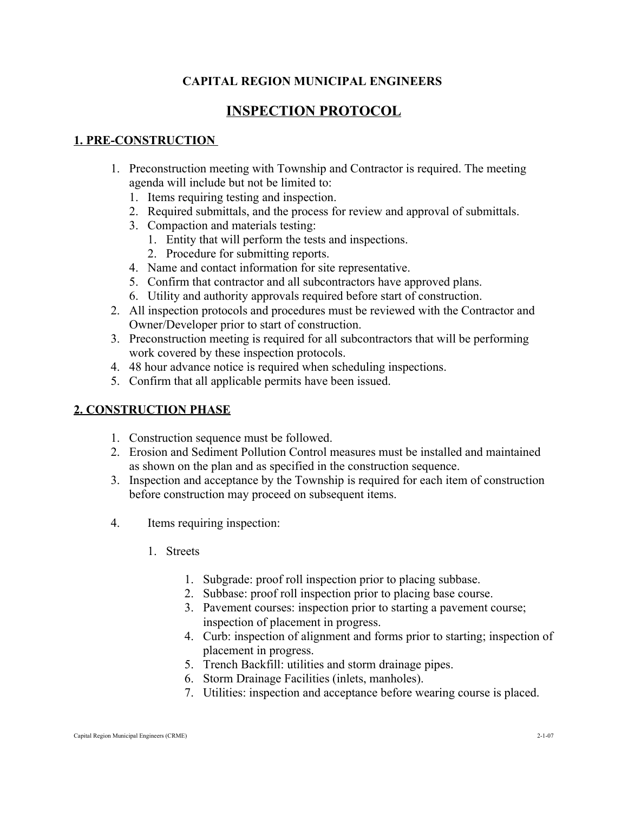## **CAPITAL REGION MUNICIPAL ENGINEERS**

# **INSPECTION PROTOCOL**

#### **1. PRE-CONSTRUCTION**

- 1. Preconstruction meeting with Township and Contractor is required. The meeting agenda will include but not be limited to:
	- 1. Items requiring testing and inspection.
	- 2. Required submittals, and the process for review and approval of submittals.
	- 3. Compaction and materials testing:
		- 1. Entity that will perform the tests and inspections.
		- 2. Procedure for submitting reports.
	- 4. Name and contact information for site representative.
	- 5. Confirm that contractor and all subcontractors have approved plans.
	- 6. Utility and authority approvals required before start of construction.
- 2. All inspection protocols and procedures must be reviewed with the Contractor and Owner/Developer prior to start of construction.
- 3. Preconstruction meeting is required for all subcontractors that will be performing work covered by these inspection protocols.
- 4. 48 hour advance notice is required when scheduling inspections.
- 5. Confirm that all applicable permits have been issued.

## **2. CONSTRUCTION PHASE**

- 1. Construction sequence must be followed.
- 2. Erosion and Sediment Pollution Control measures must be installed and maintained as shown on the plan and as specified in the construction sequence.
- 3. Inspection and acceptance by the Township is required for each item of construction before construction may proceed on subsequent items.
- 4. Items requiring inspection:
	- 1. Streets
		- 1. Subgrade: proof roll inspection prior to placing subbase.
		- 2. Subbase: proof roll inspection prior to placing base course.
		- 3. Pavement courses: inspection prior to starting a pavement course; inspection of placement in progress.
		- 4. Curb: inspection of alignment and forms prior to starting; inspection of placement in progress.
		- 5. Trench Backfill: utilities and storm drainage pipes.
		- 6. Storm Drainage Facilities (inlets, manholes).
		- 7. Utilities: inspection and acceptance before wearing course is placed.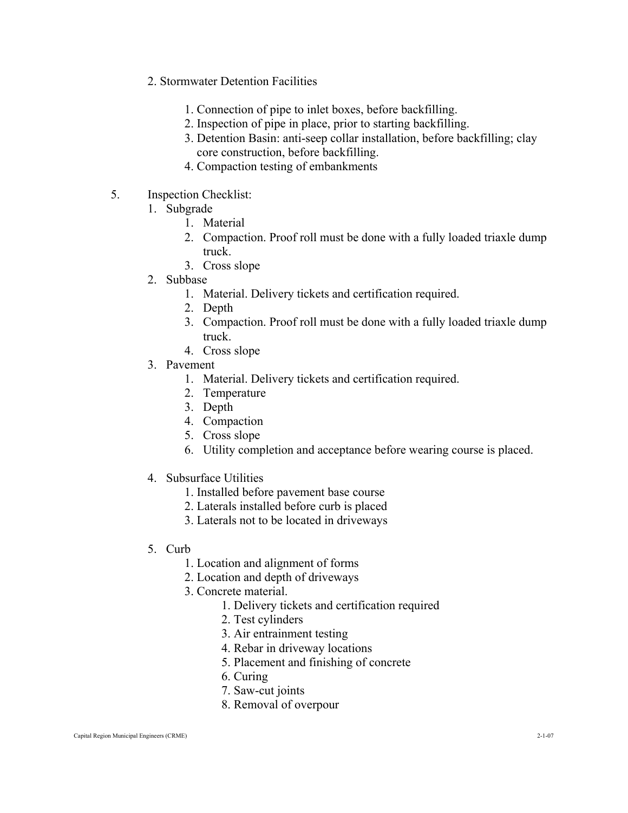- 2. Stormwater Detention Facilities
	- 1. Connection of pipe to inlet boxes, before backfilling.
	- 2. Inspection of pipe in place, prior to starting backfilling.
	- 3. Detention Basin: anti-seep collar installation, before backfilling; clay core construction, before backfilling.
	- 4. Compaction testing of embankments
- 5. Inspection Checklist:
	- 1. Subgrade
		- 1. Material
		- 2. Compaction. Proof roll must be done with a fully loaded triaxle dump truck.
		- 3. Cross slope
	- 2. Subbase
		- 1. Material. Delivery tickets and certification required.
		- 2. Depth
		- 3. Compaction. Proof roll must be done with a fully loaded triaxle dump truck.
		- 4. Cross slope
	- 3. Pavement
		- 1. Material. Delivery tickets and certification required.
		- 2. Temperature
		- 3. Depth
		- 4. Compaction
		- 5. Cross slope
		- 6. Utility completion and acceptance before wearing course is placed.
	- 4. Subsurface Utilities
		- 1. Installed before pavement base course
		- 2. Laterals installed before curb is placed
		- 3. Laterals not to be located in driveways

#### 5. Curb

- 1. Location and alignment of forms
- 2. Location and depth of driveways
- 3. Concrete material.
	- 1. Delivery tickets and certification required
		- 2. Test cylinders
		- 3. Air entrainment testing
		- 4. Rebar in driveway locations
		- 5. Placement and finishing of concrete
		- 6. Curing
		- 7. Saw-cut joints
		- 8. Removal of overpour